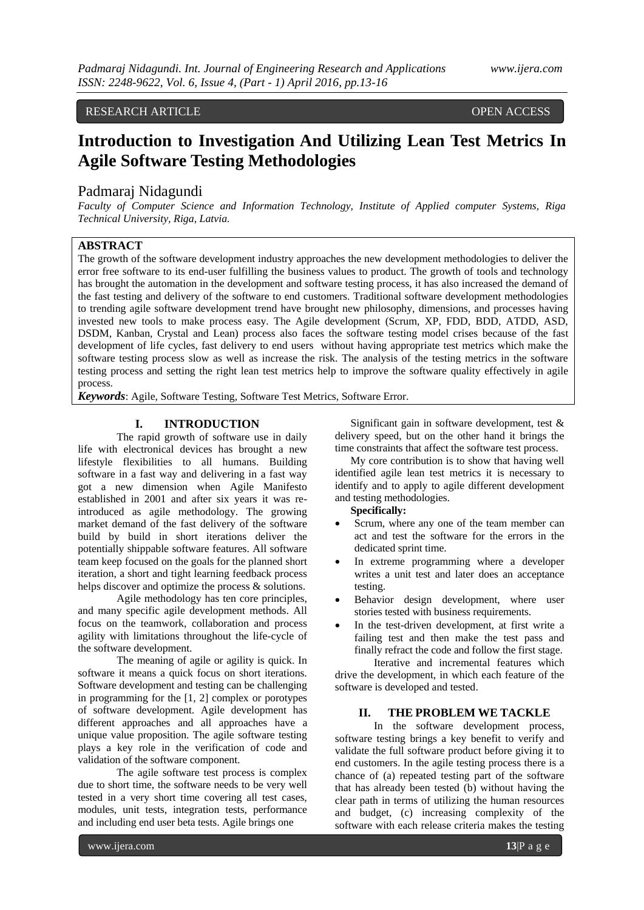## RESEARCH ARTICLE OPEN ACCESS OPEN ACCESS

# **Introduction to Investigation And Utilizing Lean Test Metrics In Agile Software Testing Methodologies**

# Padmaraj Nidagundi

*Faculty of Computer Science and Information Technology, Institute of Applied computer Systems, Riga Technical University, Riga, Latvia.*

## **ABSTRACT**

The growth of the software development industry approaches the new development methodologies to deliver the error free software to its end-user fulfilling the business values to product. The growth of tools and technology has brought the automation in the development and software testing process, it has also increased the demand of the fast testing and delivery of the software to end customers. Traditional software development methodologies to trending agile software development trend have brought new philosophy, dimensions, and processes having invested new tools to make process easy. The Agile development (Scrum, XP, FDD, BDD, ATDD, ASD, DSDM, Kanban, Crystal and Lean) process also faces the software testing model crises because of the fast development of life cycles, fast delivery to end users without having appropriate test metrics which make the software testing process slow as well as increase the risk. The analysis of the testing metrics in the software testing process and setting the right lean test metrics help to improve the software quality effectively in agile process.

*Keywords*: Agile, Software Testing, Software Test Metrics, Software Error.

## **I. INTRODUCTION**

The rapid growth of software use in daily life with electronical devices has brought a new lifestyle flexibilities to all humans. Building software in a fast way and delivering in a fast way got a new dimension when Agile Manifesto established in 2001 and after six years it was reintroduced as agile methodology. The growing market demand of the fast delivery of the software build by build in short iterations deliver the potentially shippable software features. All software team keep focused on the goals for the planned short iteration, a short and tight learning feedback process helps discover and optimize the process & solutions.

Agile methodology has ten core principles, and many specific agile development methods. All focus on the teamwork, collaboration and process agility with limitations throughout the life-cycle of the software development.

The meaning of agile or agility is quick. In software it means a quick focus on short iterations. Software development and testing can be challenging in programming for the [1, 2] complex or porotypes of software development. Agile development has different approaches and all approaches have a unique value proposition. The agile software testing plays a key role in the verification of code and validation of the software component.

The agile software test process is complex due to short time, the software needs to be very well tested in a very short time covering all test cases, modules, unit tests, integration tests, performance and including end user beta tests. Agile brings one

Significant gain in software development, test & delivery speed, but on the other hand it brings the time constraints that affect the software test process.

My core contribution is to show that having well identified agile lean test metrics it is necessary to identify and to apply to agile different development and testing methodologies.

### **Specifically:**

- Scrum, where any one of the team member can act and test the software for the errors in the dedicated sprint time.
- In extreme programming where a developer writes a unit test and later does an acceptance testing.
- Behavior design development, where user stories tested with business requirements.
- In the test-driven development, at first write a failing test and then make the test pass and finally refract the code and follow the first stage.

Iterative and incremental features which drive the development, in which each feature of the software is developed and tested.

### **II. THE PROBLEM WE TACKLE**

In the software development process, software testing brings a key benefit to verify and validate the full software product before giving it to end customers. In the agile testing process there is a chance of (a) repeated testing part of the software that has already been tested (b) without having the clear path in terms of utilizing the human resources and budget, (c) increasing complexity of the software with each release criteria makes the testing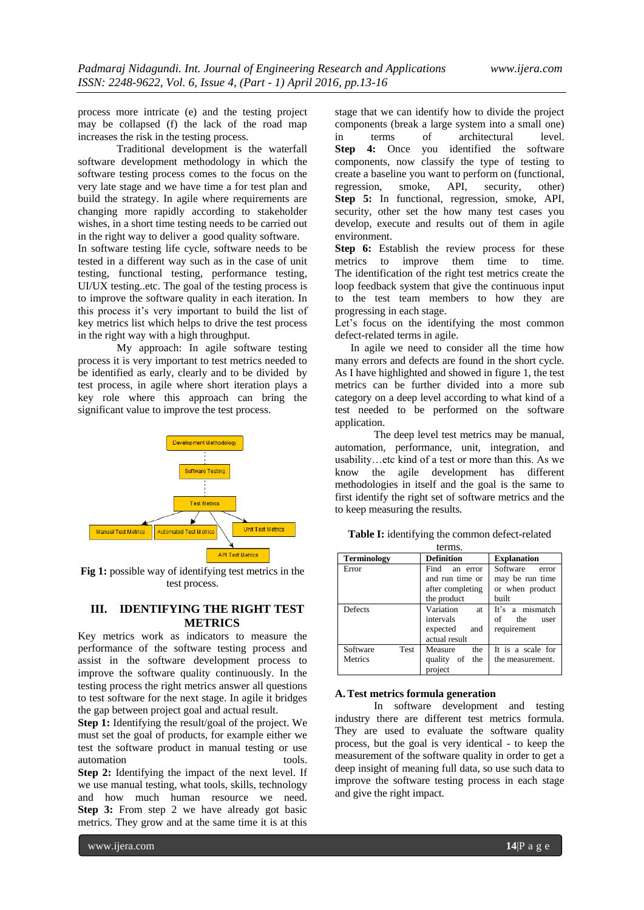process more intricate (e) and the testing project may be collapsed (f) the lack of the road map increases the risk in the testing process.

Traditional development is the waterfall software development methodology in which the software testing process comes to the focus on the very late stage and we have time a for test plan and build the strategy. In agile where requirements are changing more rapidly according to stakeholder wishes, in a short time testing needs to be carried out in the right way to deliver a good quality software.

In software testing life cycle, software needs to be tested in a different way such as in the case of unit testing, functional testing, performance testing, UI/UX testing..etc. The goal of the testing process is to improve the software quality in each iteration. In this process it's very important to build the list of key metrics list which helps to drive the test process in the right way with a high throughput.

My approach: In agile software testing process it is very important to test metrics needed to be identified as early, clearly and to be divided by test process, in agile where short iteration plays a key role where this approach can bring the significant value to improve the test process.



**Fig 1:** possible way of identifying test metrics in the test process.

# **III. IDENTIFYING THE RIGHT TEST METRICS**

Key metrics work as indicators to measure the performance of the software testing process and assist in the software development process to improve the software quality continuously. In the testing process the right metrics answer all questions to test software for the next stage. In agile it bridges the gap between project goal and actual result.

**Step 1:** Identifying the result/goal of the project. We must set the goal of products, for example either we test the software product in manual testing or use automation tools.

**Step 2:** Identifying the impact of the next level. If we use manual testing, what tools, skills, technology and how much human resource we need. **Step 3:** From step 2 we have already got basic metrics. They grow and at the same time it is at this stage that we can identify how to divide the project components (break a large system into a small one) in terms of architectural level. **Step 4:** Once you identified the software components, now classify the type of testing to create a baseline you want to perform on (functional, regression, smoke, API, security, other) **Step 5:** In functional, regression, smoke, API, security, other set the how many test cases you develop, execute and results out of them in agile environment.

**Step 6:** Establish the review process for these metrics to improve them time to time. The identification of the right test metrics create the loop feedback system that give the continuous input to the test team members to how they are progressing in each stage.

Let's focus on the identifying the most common defect-related terms in agile.

In agile we need to consider all the time how many errors and defects are found in the short cycle. As I have highlighted and showed in figure 1, the test metrics can be further divided into a more sub category on a deep level according to what kind of a test needed to be performed on the software application.

The deep level test metrics may be manual, automation, performance, unit, integration, and usability…etc kind of a test or more than this. As we know the agile development has different methodologies in itself and the goal is the same to first identify the right set of software metrics and the to keep measuring the results.

| Table I: identifying the common defect-related |  |  |  |
|------------------------------------------------|--|--|--|
| terms.                                         |  |  |  |
|                                                |  |  |  |

| <b>Terminology</b> | <b>Definition</b> | <b>Explanation</b> |
|--------------------|-------------------|--------------------|
| Error              | Find<br>an error  | Software<br>error  |
|                    | and run time or   | may be run time    |
|                    | after completing  | or when product    |
|                    | the product       | built              |
| Defects            | Variation<br>at   | It's a mismatch    |
|                    | intervals         | of<br>the<br>user  |
|                    | expected<br>and   | requirement        |
|                    | actual result     |                    |
| Software<br>Test   | Measure<br>the    | It is a scale for  |
| Metrics            | quality of<br>the | the measurement.   |
|                    | project           |                    |

#### **A.Test metrics formula generation**

In software development and testing industry there are different test metrics formula. They are used to evaluate the software quality process, but the goal is very identical - to keep the measurement of the software quality in order to get a deep insight of meaning full data, so use such data to improve the software testing process in each stage and give the right impact.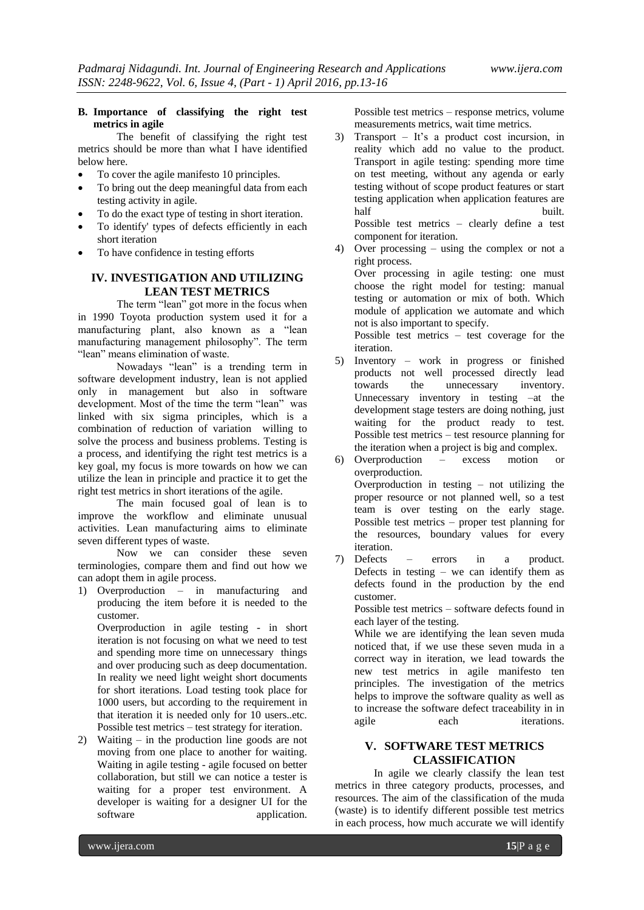## **B. Importance of classifying the right test metrics in agile**

The benefit of classifying the right test metrics should be more than what I have identified below here.

- To cover the agile manifesto 10 principles.
- To bring out the deep meaningful data from each testing activity in agile.
- To do the exact type of testing in short iteration.
- To identify' types of defects efficiently in each short iteration
- To have confidence in testing efforts

# **IV. INVESTIGATION AND UTILIZING LEAN TEST METRICS**

The term "lean" got more in the focus when in 1990 Toyota production system used it for a manufacturing plant, also known as a "lean manufacturing management philosophy". The term "lean" means elimination of waste.

Nowadays "lean" is a trending term in software development industry, lean is not applied only in management but also in software development. Most of the time the term "lean" was linked with six sigma principles, which is a combination of reduction of variation willing to solve the process and business problems. Testing is a process, and identifying the right test metrics is a key goal, my focus is more towards on how we can utilize the lean in principle and practice it to get the right test metrics in short iterations of the agile.

The main focused goal of lean is to improve the workflow and eliminate unusual activities. Lean manufacturing aims to eliminate seven different types of waste.

Now we can consider these seven terminologies, compare them and find out how we can adopt them in agile process.

1) Overproduction – in manufacturing and producing the item before it is needed to the customer.

Overproduction in agile testing - in short iteration is not focusing on what we need to test and spending more time on unnecessary things and over producing such as deep documentation. In reality we need light weight short documents for short iterations. Load testing took place for 1000 users, but according to the requirement in that iteration it is needed only for 10 users..etc. Possible test metrics – test strategy for iteration.

2) Waiting – in the production line goods are not moving from one place to another for waiting. Waiting in agile testing - agile focused on better collaboration, but still we can notice a tester is waiting for a proper test environment. A developer is waiting for a designer UI for the software application.

Possible test metrics – response metrics, volume measurements metrics, wait time metrics.

- 3) Transport It's a product cost incursion, in reality which add no value to the product. Transport in agile testing: spending more time on test meeting, without any agenda or early testing without of scope product features or start testing application when application features are half built. Possible test metrics – clearly define a test component for iteration.
- 4) Over processing using the complex or not a right process.

Over processing in agile testing: one must choose the right model for testing: manual testing or automation or mix of both. Which module of application we automate and which not is also important to specify.

Possible test metrics – test coverage for the iteration.

5) Inventory – work in progress or finished products not well processed directly lead towards the unnecessary inventory. Unnecessary inventory in testing –at the development stage testers are doing nothing, just waiting for the product ready to test. Possible test metrics – test resource planning for the iteration when a project is big and complex.

6) Overproduction – excess motion or overproduction. Overproduction in testing – not utilizing the proper resource or not planned well, so a test team is over testing on the early stage. Possible test metrics – proper test planning for the resources, boundary values for every iteration.

7) Defects – errors in a product. Defects in testing – we can identify them as defects found in the production by the end customer.

Possible test metrics – software defects found in each layer of the testing.

While we are identifying the lean seven muda noticed that, if we use these seven muda in a correct way in iteration, we lead towards the new test metrics in agile manifesto ten principles. The investigation of the metrics helps to improve the software quality as well as to increase the software defect traceability in in agile each iterations.

# **V. SOFTWARE TEST METRICS CLASSIFICATION**

In agile we clearly classify the lean test metrics in three category products, processes, and resources. The aim of the classification of the muda (waste) is to identify different possible test metrics in each process, how much accurate we will identify